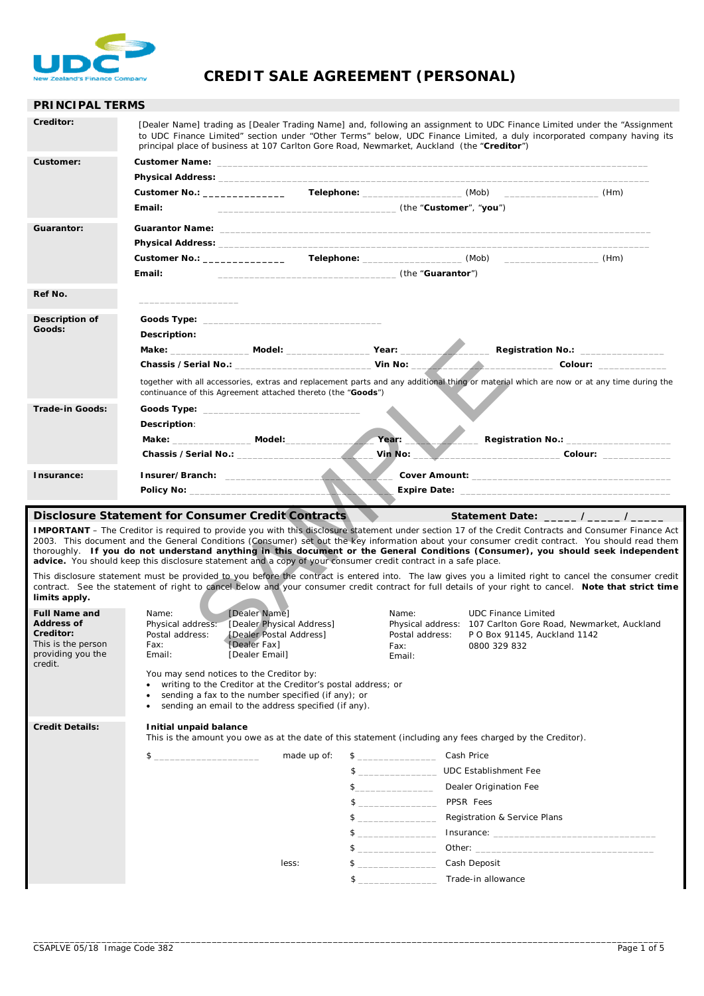

# **CREDIT SALE AGREEMENT (PERSONAL)**

| <b>PRINCIPAL TERMS</b>                    |                                                                                                                                                                                                                  |                                  |                                                                                                                                                                                                                                                                                                                                                                                                                                                    |  |  |  |  |
|-------------------------------------------|------------------------------------------------------------------------------------------------------------------------------------------------------------------------------------------------------------------|----------------------------------|----------------------------------------------------------------------------------------------------------------------------------------------------------------------------------------------------------------------------------------------------------------------------------------------------------------------------------------------------------------------------------------------------------------------------------------------------|--|--|--|--|
| Creditor:                                 | principal place of business at 107 Carlton Gore Road, Newmarket, Auckland (the "Creditor")                                                                                                                       |                                  | [Dealer Name] trading as [Dealer Trading Name] and, following an assignment to UDC Finance Limited under the "Assignment<br>to UDC Finance Limited" section under "Other Terms" below, UDC Finance Limited, a duly incorporated company having its                                                                                                                                                                                                 |  |  |  |  |
| Customer:                                 |                                                                                                                                                                                                                  |                                  |                                                                                                                                                                                                                                                                                                                                                                                                                                                    |  |  |  |  |
|                                           |                                                                                                                                                                                                                  |                                  |                                                                                                                                                                                                                                                                                                                                                                                                                                                    |  |  |  |  |
|                                           | Customer No.: _______________                                                                                                                                                                                    |                                  | (Hm)                                                                                                                                                                                                                                                                                                                                                                                                                                               |  |  |  |  |
|                                           | Email:                                                                                                                                                                                                           | (the "Customer", "you")          |                                                                                                                                                                                                                                                                                                                                                                                                                                                    |  |  |  |  |
| Guarantor:                                |                                                                                                                                                                                                                  |                                  |                                                                                                                                                                                                                                                                                                                                                                                                                                                    |  |  |  |  |
|                                           |                                                                                                                                                                                                                  |                                  |                                                                                                                                                                                                                                                                                                                                                                                                                                                    |  |  |  |  |
|                                           | Customer No.: ________________                                                                                                                                                                                   |                                  | Telephone: (Mob) (Hm)                                                                                                                                                                                                                                                                                                                                                                                                                              |  |  |  |  |
|                                           | (the "Guarantor")<br>Email:                                                                                                                                                                                      |                                  |                                                                                                                                                                                                                                                                                                                                                                                                                                                    |  |  |  |  |
| Ref No.                                   |                                                                                                                                                                                                                  |                                  |                                                                                                                                                                                                                                                                                                                                                                                                                                                    |  |  |  |  |
| Description of                            |                                                                                                                                                                                                                  |                                  |                                                                                                                                                                                                                                                                                                                                                                                                                                                    |  |  |  |  |
| Goods:                                    | Description:                                                                                                                                                                                                     |                                  |                                                                                                                                                                                                                                                                                                                                                                                                                                                    |  |  |  |  |
|                                           |                                                                                                                                                                                                                  |                                  |                                                                                                                                                                                                                                                                                                                                                                                                                                                    |  |  |  |  |
|                                           |                                                                                                                                                                                                                  |                                  | <b>Colour: Colour</b> :                                                                                                                                                                                                                                                                                                                                                                                                                            |  |  |  |  |
|                                           |                                                                                                                                                                                                                  |                                  |                                                                                                                                                                                                                                                                                                                                                                                                                                                    |  |  |  |  |
|                                           | continuance of this Agreement attached thereto (the "Goods")                                                                                                                                                     |                                  | together with all accessories, extras and replacement parts and any additional thing or material which are now or at any time during the                                                                                                                                                                                                                                                                                                           |  |  |  |  |
| <b>Trade-in Goods:</b>                    |                                                                                                                                                                                                                  |                                  |                                                                                                                                                                                                                                                                                                                                                                                                                                                    |  |  |  |  |
|                                           | Description:                                                                                                                                                                                                     |                                  |                                                                                                                                                                                                                                                                                                                                                                                                                                                    |  |  |  |  |
|                                           | Make: Model: Model:                                                                                                                                                                                              | Year:                            | <b>Registration No.: Example 2014</b>                                                                                                                                                                                                                                                                                                                                                                                                              |  |  |  |  |
|                                           | Chassis /Serial No.: New York 1997                                                                                                                                                                               | Vin No: $\overline{\phantom{a}}$ | <b>Colour: Colour: Colour</b> :                                                                                                                                                                                                                                                                                                                                                                                                                    |  |  |  |  |
| Insurance:                                | Insurer/Branch: ________________                                                                                                                                                                                 |                                  |                                                                                                                                                                                                                                                                                                                                                                                                                                                    |  |  |  |  |
|                                           | Policy No: ______________                                                                                                                                                                                        |                                  |                                                                                                                                                                                                                                                                                                                                                                                                                                                    |  |  |  |  |
|                                           |                                                                                                                                                                                                                  |                                  |                                                                                                                                                                                                                                                                                                                                                                                                                                                    |  |  |  |  |
|                                           |                                                                                                                                                                                                                  |                                  |                                                                                                                                                                                                                                                                                                                                                                                                                                                    |  |  |  |  |
|                                           | Disclosure Statement for Consumer Credit Contracts                                                                                                                                                               |                                  | Statement Date: _____/_____/______                                                                                                                                                                                                                                                                                                                                                                                                                 |  |  |  |  |
|                                           | advice. You should keep this disclosure statement and a copy of your consumer credit contract in a safe place.                                                                                                   |                                  | <b>IMPORTANT</b> – The Creditor is required to provide you with this disclosure statement under section 17 of the Credit Contracts and Consumer Finance Act<br>2003. This document and the General Conditions (Consumer) set out the key information about your consumer credit contract. You should read them<br>thoroughly. If you do not understand anything in this document or the General Conditions (Consumer), you should seek independent |  |  |  |  |
|                                           |                                                                                                                                                                                                                  |                                  | This disclosure statement must be provided to you before the contract is entered into. The law gives you a limited right to cancel the consumer credit<br>contract. See the statement of right to cancel below and your consumer credit contract for full details of your right to cancel. Note that strict time                                                                                                                                   |  |  |  |  |
| limits apply.                             |                                                                                                                                                                                                                  |                                  |                                                                                                                                                                                                                                                                                                                                                                                                                                                    |  |  |  |  |
| <b>Full Name and</b><br><b>Address of</b> | [Dealer Name]<br>Name:<br>Physical address: [Dealer Physical Address]                                                                                                                                            | Name:                            | <b>UDC Finance Limited</b><br>Physical address: 107 Carlton Gore Road, Newmarket, Auckland                                                                                                                                                                                                                                                                                                                                                         |  |  |  |  |
| Creditor:                                 | Postal address:<br>[Dealer Postal Address]                                                                                                                                                                       | Postal address:                  | P O Box 91145, Auckland 1142                                                                                                                                                                                                                                                                                                                                                                                                                       |  |  |  |  |
| This is the person<br>providing you the   | [Dealer Fax]<br>Fax:<br>[Dealer Email]<br>Email:                                                                                                                                                                 | Fax:<br>Email:                   | 0800 329 832                                                                                                                                                                                                                                                                                                                                                                                                                                       |  |  |  |  |
| credit.                                   | You may send notices to the Creditor by:                                                                                                                                                                         |                                  |                                                                                                                                                                                                                                                                                                                                                                                                                                                    |  |  |  |  |
|                                           | writing to the Creditor at the Creditor's postal address; or<br>$\bullet$<br>sending a fax to the number specified (if any); or<br>$\bullet$<br>sending an email to the address specified (if any).<br>$\bullet$ |                                  |                                                                                                                                                                                                                                                                                                                                                                                                                                                    |  |  |  |  |
| <b>Credit Details:</b>                    | Initial unpaid balance<br>This is the amount you owe as at the date of this statement (including any fees charged by the Creditor).                                                                              |                                  |                                                                                                                                                                                                                                                                                                                                                                                                                                                    |  |  |  |  |
|                                           |                                                                                                                                                                                                                  |                                  |                                                                                                                                                                                                                                                                                                                                                                                                                                                    |  |  |  |  |
|                                           | $\frac{1}{2}$<br>made up of:                                                                                                                                                                                     | \$                               |                                                                                                                                                                                                                                                                                                                                                                                                                                                    |  |  |  |  |
|                                           |                                                                                                                                                                                                                  | \$                               |                                                                                                                                                                                                                                                                                                                                                                                                                                                    |  |  |  |  |
|                                           |                                                                                                                                                                                                                  | $\frac{1}{2}$                    | Dealer Origination Fee                                                                                                                                                                                                                                                                                                                                                                                                                             |  |  |  |  |
|                                           |                                                                                                                                                                                                                  |                                  | PPSR Fees                                                                                                                                                                                                                                                                                                                                                                                                                                          |  |  |  |  |
|                                           |                                                                                                                                                                                                                  | $\sim$                           | Registration & Service Plans                                                                                                                                                                                                                                                                                                                                                                                                                       |  |  |  |  |
|                                           |                                                                                                                                                                                                                  |                                  | $\frac{1}{2}$ $\frac{1}{2}$ $\frac{1}{2}$ $\frac{1}{2}$ $\frac{1}{2}$ $\frac{1}{2}$ $\frac{1}{2}$ $\frac{1}{2}$ $\frac{1}{2}$ $\frac{1}{2}$ $\frac{1}{2}$ $\frac{1}{2}$ $\frac{1}{2}$ $\frac{1}{2}$ $\frac{1}{2}$ $\frac{1}{2}$ $\frac{1}{2}$ $\frac{1}{2}$ $\frac{1}{2}$ $\frac{1}{2}$ $\frac{1}{2}$ $\frac{1}{2}$                                                                                                                                |  |  |  |  |
|                                           |                                                                                                                                                                                                                  |                                  |                                                                                                                                                                                                                                                                                                                                                                                                                                                    |  |  |  |  |
|                                           | less:                                                                                                                                                                                                            | $\frac{1}{2}$                    | Cash Deposit<br>Trade-in allowance                                                                                                                                                                                                                                                                                                                                                                                                                 |  |  |  |  |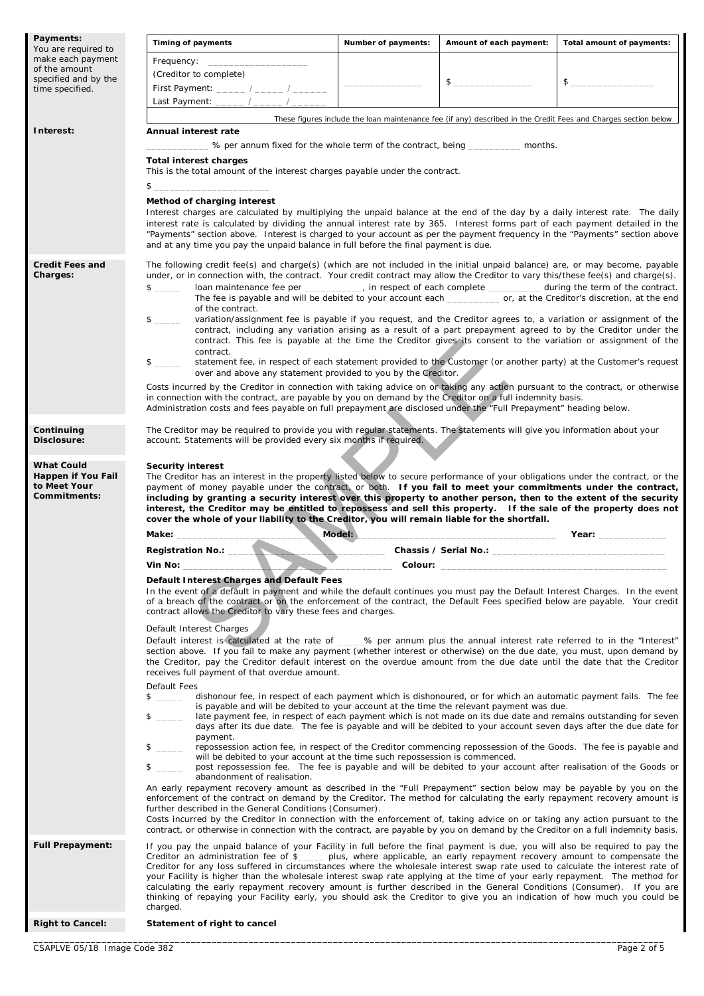| Payments:                                | <b>Timing of payments</b>                                                                                                                                                                                                                                            | Number of payments: | Amount of each payment:              | Total amount of payments:                                                                                      |  |  |  |  |
|------------------------------------------|----------------------------------------------------------------------------------------------------------------------------------------------------------------------------------------------------------------------------------------------------------------------|---------------------|--------------------------------------|----------------------------------------------------------------------------------------------------------------|--|--|--|--|
| You are required to<br>make each payment | Frequency: ______                                                                                                                                                                                                                                                    |                     |                                      |                                                                                                                |  |  |  |  |
| of the amount<br>specified and by the    | (Creditor to complete)                                                                                                                                                                                                                                               |                     | \$                                   | $\sim$                                                                                                         |  |  |  |  |
| time specified.                          | First Payment: ______ /_____ /_______                                                                                                                                                                                                                                |                     |                                      |                                                                                                                |  |  |  |  |
|                                          | Last Payment: ______ /_____ /______                                                                                                                                                                                                                                  |                     |                                      |                                                                                                                |  |  |  |  |
|                                          |                                                                                                                                                                                                                                                                      |                     |                                      | These figures include the loan maintenance fee (if any) described in the Credit Fees and Charges section below |  |  |  |  |
| Interest:                                | Annual interest rate                                                                                                                                                                                                                                                 |                     |                                      |                                                                                                                |  |  |  |  |
|                                          | % per annum fixed for the whole term of the contract, being ________ months.                                                                                                                                                                                         |                     |                                      |                                                                                                                |  |  |  |  |
|                                          | Total interest charges<br>This is the total amount of the interest charges payable under the contract.                                                                                                                                                               |                     |                                      |                                                                                                                |  |  |  |  |
|                                          | $\frac{1}{2}$                                                                                                                                                                                                                                                        |                     |                                      |                                                                                                                |  |  |  |  |
|                                          | Method of charging interest                                                                                                                                                                                                                                          |                     |                                      |                                                                                                                |  |  |  |  |
|                                          | Interest charges are calculated by multiplying the unpaid balance at the end of the day by a daily interest rate. The daily<br>interest rate is calculated by dividing the annual interest rate by 365. Interest forms part of each payment detailed in the          |                     |                                      |                                                                                                                |  |  |  |  |
|                                          | "Payments" section above. Interest is charged to your account as per the payment frequency in the "Payments" section above                                                                                                                                           |                     |                                      |                                                                                                                |  |  |  |  |
|                                          | and at any time you pay the unpaid balance in full before the final payment is due.                                                                                                                                                                                  |                     |                                      |                                                                                                                |  |  |  |  |
| <b>Credit Fees and</b>                   | The following credit fee(s) and charge(s) (which are not included in the initial unpaid balance) are, or may become, payable                                                                                                                                         |                     |                                      |                                                                                                                |  |  |  |  |
| Charges:                                 | under, or in connection with, the contract. Your credit contract may allow the Creditor to vary this/these fee(s) and charge(s).<br>loan maintenance fee per ____________, in respect of each complete ___________ during the term of the contract.<br>$\frac{1}{2}$ |                     |                                      |                                                                                                                |  |  |  |  |
|                                          | The fee is payable and will be debited to your account each ____________ or, at the Creditor's discretion, at the end                                                                                                                                                |                     |                                      |                                                                                                                |  |  |  |  |
|                                          | of the contract.<br>\$<br>variation/assignment fee is payable if you request, and the Creditor agrees to, a variation or assignment of the                                                                                                                           |                     |                                      |                                                                                                                |  |  |  |  |
|                                          | contract, including any variation arising as a result of a part prepayment agreed to by the Creditor under the                                                                                                                                                       |                     |                                      |                                                                                                                |  |  |  |  |
|                                          | contract. This fee is payable at the time the Creditor gives its consent to the variation or assignment of the<br>contract.                                                                                                                                          |                     |                                      |                                                                                                                |  |  |  |  |
|                                          | statement fee, in respect of each statement provided to the Customer (or another party) at the Customer's request<br>$\frac{1}{2}$                                                                                                                                   |                     |                                      |                                                                                                                |  |  |  |  |
|                                          | over and above any statement provided to you by the Creditor.                                                                                                                                                                                                        |                     |                                      |                                                                                                                |  |  |  |  |
|                                          | Costs incurred by the Creditor in connection with taking advice on or taking any action pursuant to the contract, or otherwise<br>in connection with the contract, are payable by you on demand by the Creditor on a full indemnity basis.                           |                     |                                      |                                                                                                                |  |  |  |  |
|                                          | Administration costs and fees payable on full prepayment are disclosed under the "Full Prepayment" heading below.                                                                                                                                                    |                     |                                      |                                                                                                                |  |  |  |  |
| Continuing                               | The Creditor may be required to provide you with regular statements. The statements will give you information about your                                                                                                                                             |                     |                                      |                                                                                                                |  |  |  |  |
| Disclosure:                              | account. Statements will be provided every six months if required.                                                                                                                                                                                                   |                     |                                      |                                                                                                                |  |  |  |  |
| <b>What Could</b>                        |                                                                                                                                                                                                                                                                      |                     |                                      |                                                                                                                |  |  |  |  |
| Happen if You Fail                       | <b>Security interest</b><br>The Creditor has an interest in the property listed below to secure performance of your obligations under the contract, or the                                                                                                           |                     |                                      |                                                                                                                |  |  |  |  |
| to Meet Your                             | payment of money payable under the contract, or both. If you fail to meet your commitments under the contract,                                                                                                                                                       |                     |                                      |                                                                                                                |  |  |  |  |
|                                          |                                                                                                                                                                                                                                                                      |                     |                                      |                                                                                                                |  |  |  |  |
| Commitments:                             | including by granting a security interest over this property to another person, then to the extent of the security<br>interest, the Creditor may be entitled to repossess and sell this property. If the sale of the property does not                               |                     |                                      |                                                                                                                |  |  |  |  |
|                                          | cover the whole of your liability to the Creditor, you will remain liable for the shortfall.                                                                                                                                                                         |                     |                                      |                                                                                                                |  |  |  |  |
|                                          |                                                                                                                                                                                                                                                                      | Model:              | the control of the control of the    | Year: _____________                                                                                            |  |  |  |  |
|                                          | Registration No.: Neglistration                                                                                                                                                                                                                                      |                     | Chassis / Serial No.: ______________ |                                                                                                                |  |  |  |  |
|                                          | Vin No: J                                                                                                                                                                                                                                                            | Colour:             |                                      |                                                                                                                |  |  |  |  |
|                                          | Default Interest Charges and Default Fees<br>In the event of a default in payment and while the default continues you must pay the <i>Default Interest Charges</i> . In the event                                                                                    |                     |                                      |                                                                                                                |  |  |  |  |
|                                          | of a breach of the contract or on the enforcement of the contract, the Default Fees specified below are payable. Your credit                                                                                                                                         |                     |                                      |                                                                                                                |  |  |  |  |
|                                          | contract allows the Creditor to vary these fees and charges.                                                                                                                                                                                                         |                     |                                      |                                                                                                                |  |  |  |  |
|                                          | Default Interest Charges                                                                                                                                                                                                                                             |                     |                                      |                                                                                                                |  |  |  |  |
|                                          | Default interest is calculated at the rate of ____% per annum plus the annual interest rate referred to in the "Interest"<br>section above. If you fail to make any payment (whether interest or otherwise) on the due date, you must, upon demand by                |                     |                                      |                                                                                                                |  |  |  |  |
|                                          | the Creditor, pay the Creditor default interest on the overdue amount from the due date until the date that the Creditor<br>receives full payment of that overdue amount.                                                                                            |                     |                                      |                                                                                                                |  |  |  |  |
|                                          | Default Fees                                                                                                                                                                                                                                                         |                     |                                      |                                                                                                                |  |  |  |  |
|                                          | $\frac{1}{2}$<br>dishonour fee, in respect of each payment which is dishonoured, or for which an automatic payment fails. The fee                                                                                                                                    |                     |                                      |                                                                                                                |  |  |  |  |
|                                          | is payable and will be debited to your account at the time the relevant payment was due.<br>late payment fee, in respect of each payment which is not made on its due date and remains outstanding for seven<br>$\frac{1}{2}$                                        |                     |                                      |                                                                                                                |  |  |  |  |
|                                          | days after its due date. The fee is payable and will be debited to your account seven days after the due date for<br>payment.                                                                                                                                        |                     |                                      |                                                                                                                |  |  |  |  |
|                                          | repossession action fee, in respect of the Creditor commencing repossession of the Goods. The fee is payable and<br>$\frac{1}{2}$                                                                                                                                    |                     |                                      |                                                                                                                |  |  |  |  |
|                                          | will be debited to your account at the time such repossession is commenced.<br>post repossession fee. The fee is payable and will be debited to your account after realisation of the Goods or<br>$s_{-}$                                                            |                     |                                      |                                                                                                                |  |  |  |  |
|                                          | abandonment of realisation.                                                                                                                                                                                                                                          |                     |                                      |                                                                                                                |  |  |  |  |
|                                          | An early repayment recovery amount as described in the "Full Prepayment" section below may be payable by you on the<br>enforcement of the contract on demand by the Creditor. The method for calculating the early repayment recovery amount is                      |                     |                                      |                                                                                                                |  |  |  |  |
|                                          | further described in the General Conditions (Consumer).                                                                                                                                                                                                              |                     |                                      |                                                                                                                |  |  |  |  |
|                                          | Costs incurred by the Creditor in connection with the enforcement of, taking advice on or taking any action pursuant to the<br>contract, or otherwise in connection with the contract, are payable by you on demand by the Creditor on a full indemnity basis.       |                     |                                      |                                                                                                                |  |  |  |  |
| <b>Full Prepayment:</b>                  | If you pay the unpaid balance of your Facility in full before the final payment is due, you will also be required to pay the                                                                                                                                         |                     |                                      |                                                                                                                |  |  |  |  |
|                                          | Creditor an administration fee of \$<br>2001 plus, where applicable, an early repayment recovery amount to compensate the                                                                                                                                            |                     |                                      |                                                                                                                |  |  |  |  |
|                                          | Creditor for any loss suffered in circumstances where the wholesale interest swap rate used to calculate the interest rate of<br>your Facility is higher than the wholesale interest swap rate applying at the time of your early repayment. The method for          |                     |                                      |                                                                                                                |  |  |  |  |
|                                          | calculating the early repayment recovery amount is further described in the General Conditions (Consumer). If you are                                                                                                                                                |                     |                                      |                                                                                                                |  |  |  |  |
|                                          | thinking of repaying your Facility early, you should ask the Creditor to give you an indication of how much you could be<br>charged.                                                                                                                                 |                     |                                      |                                                                                                                |  |  |  |  |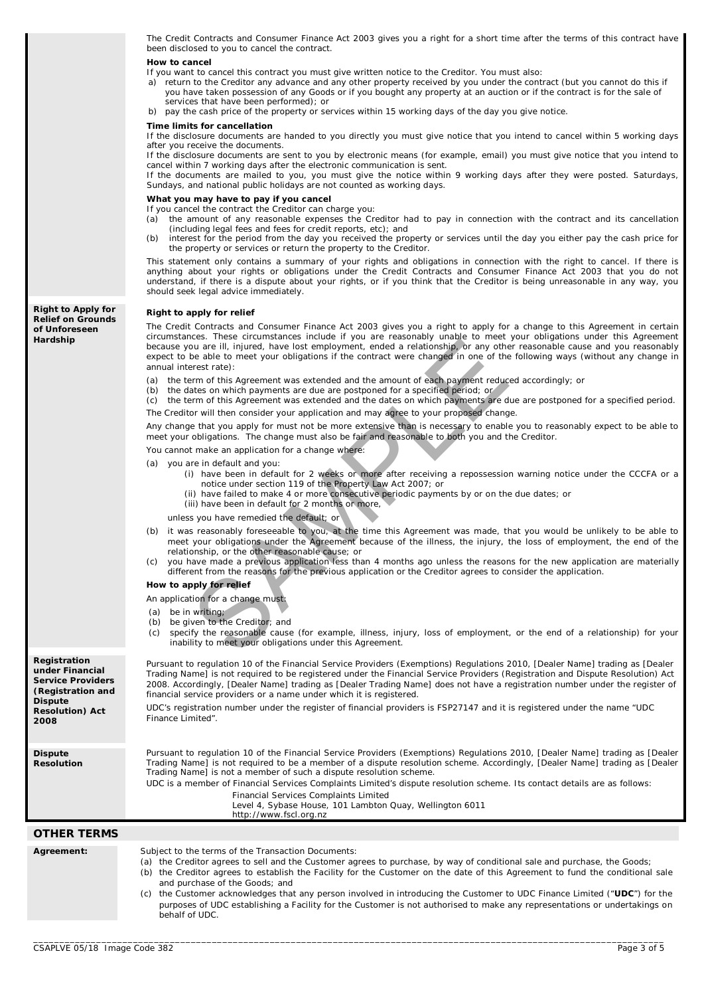The Credit Contracts and Consumer Finance Act 2003 gives you a right for a short time after the terms of this contract have been disclosed to you to cancel the contract.

## **How to cancel**

If you want to cancel this contract you must give written notice to the Creditor. You must also:

- a) return to the Creditor any advance and any other property received by you under the contract (but you cannot do this if you have taken possession of any Goods or if you bought any property at an auction or if the contract is for the sale of services that have been performed); or
- b) pay the cash price of the property or services within 15 working days of the day you give notice.

### **Time limits for cancellation**

If the disclosure documents are handed to you directly you must give notice that you intend to cancel within 5 working days after you receive the documents.

If the disclosure documents are sent to you by electronic means (for example, email) you must give notice that you intend to cancel within 7 working days after the electronic communication is sent.

If the documents are mailed to you, you must give the notice within 9 working days after they were posted. Saturdays, Sundays, and national public holidays are not counted as working days.

## **What you may have to pay if you cancel**

If you cancel the contract the Creditor can charge you:

- (a) the amount of any reasonable expenses the Creditor had to pay in connection with the contract and its cancellation (including legal fees and fees for credit reports, etc); and
- (b) interest for the period from the day you received the property or services until the day you either pay the cash price for the property or services or return the property to the Creditor.

This statement only contains a summary of your rights and obligations in connection with the right to cancel. If there is anything about your rights or obligations under the Credit Contracts and Consumer Finance Act 2003 that you do not understand, if there is a dispute about your rights, or if you think that the Creditor is being unreasonable in any way, you should seek legal advice immediately.

#### **Right to apply for relief**

**Right to Apply for Relief on Grounds of Unforeseen Hardship**

The Credit Contracts and Consumer Finance Act 2003 gives you a right to apply for a change to this Agreement in certain circumstances. These circumstances include if you are reasonably unable to meet your obligations under this Agreement because you are ill, injured, have lost employment, ended a relationship, or any other reasonable cause and you reasonably expect to be able to meet your obligations if the contract were changed in one of the following ways (without any change in annual interest rate): external interest in the case of the reasonably what the solution of the considerations in the constrained in the constrained in the constrained in the solution of each payment reductions are intrinsic to meet your obligat

- (a) the term of this Agreement was extended and the amount of each payment reduced accordingly; or
- (b) the dates on which payments are due are postponed for a specified period; or
- (c) the term of this Agreement was extended and the dates on which payments are due are postponed for a specified period. The Creditor will then consider your application and may agree to your proposed change.

Any change that you apply for must not be more extensive than is necessary to enable you to reasonably expect to be able to meet your obligations. The change must also be fair and reasonable to both you and the Creditor.

You cannot make an application for a change where:

- (a) you are in default and you:
	- (i) have been in default for 2 weeks or more after receiving a repossession warning notice under the CCCFA or a notice under section 119 of the Property Law Act 2007; or
	- (ii) have failed to make 4 or more consecutive periodic payments by or on the due dates; or
	- (iii) have been in default for 2 months or more,
	- unless you have remedied the default; or
- (b) it was reasonably foreseeable to you, at the time this Agreement was made, that you would be unlikely to be able to meet your obligations under the Agreement because of the illness, the injury, the loss of employment, the end of the relationship, or the other reasonable cause; or
- (c) you have made a previous application less than 4 months ago unless the reasons for the new application are materially different from the reasons for the previous application or the Creditor agrees to consider the application.

## **How to apply for relief**

- An application for a change must:
- (a) be in writing;
- (b) be given to the Creditor; and
- (c) specify the reasonable cause (for example, illness, injury, loss of employment, or the end of a relationship) for your inability to meet your obligations under this Agreement.

|                                                                                                                                      | mability to meet your obligations under this Agreement.                                                                                                                                                                                                                                                                                                                                                                                                                                                                                                                                                                         |
|--------------------------------------------------------------------------------------------------------------------------------------|---------------------------------------------------------------------------------------------------------------------------------------------------------------------------------------------------------------------------------------------------------------------------------------------------------------------------------------------------------------------------------------------------------------------------------------------------------------------------------------------------------------------------------------------------------------------------------------------------------------------------------|
| Registration<br>under Financial<br><b>Service Providers</b><br>(Registration and<br><b>Dispute</b><br><b>Resolution) Act</b><br>2008 | Pursuant to regulation 10 of the Financial Service Providers (Exemptions) Regulations 2010, [Dealer Name] trading as [Dealer<br>Trading Name] is not required to be registered under the Financial Service Providers (Registration and Dispute Resolution) Act<br>2008. Accordingly, [Dealer Name] trading as [Dealer Trading Name] does not have a registration number under the register of<br>financial service providers or a name under which it is registered.<br>UDC's registration number under the register of financial providers is FSP27147 and it is registered under the name "UDC<br>Finance Limited".           |
| <b>Dispute</b><br><b>Resolution</b>                                                                                                  | Pursuant to regulation 10 of the Financial Service Providers (Exemptions) Regulations 2010, [Dealer Name] trading as [Dealer<br>Trading Name] is not required to be a member of a dispute resolution scheme. Accordingly, [Dealer Name] trading as [Dealer<br>Trading Name] is not a member of such a dispute resolution scheme.<br>UDC is a member of Financial Services Complaints Limited's dispute resolution scheme. Its contact details are as follows:<br>Financial Services Complaints Limited<br>Level 4, Sybase House, 101 Lambton Quay, Wellington 6011<br>http://www.fscl.org.nz                                    |
| <b>OTHER TERMS</b>                                                                                                                   |                                                                                                                                                                                                                                                                                                                                                                                                                                                                                                                                                                                                                                 |
| Agreement:                                                                                                                           | Subject to the terms of the Transaction Documents:<br>(a) the Creditor agrees to sell and the Customer agrees to purchase, by way of conditional sale and purchase, the Goods;<br>the Creditor agrees to establish the Facility for the Customer on the date of this Agreement to fund the conditional sale<br>(b)<br>and purchase of the Goods; and<br>(c) the Customer acknowledges that any person involved in introducing the Customer to UDC Finance Limited ("UDC") for the<br>purposes of UDC establishing a Facility for the Customer is not authorised to make any representations or undertakings on<br>behalf of UDC |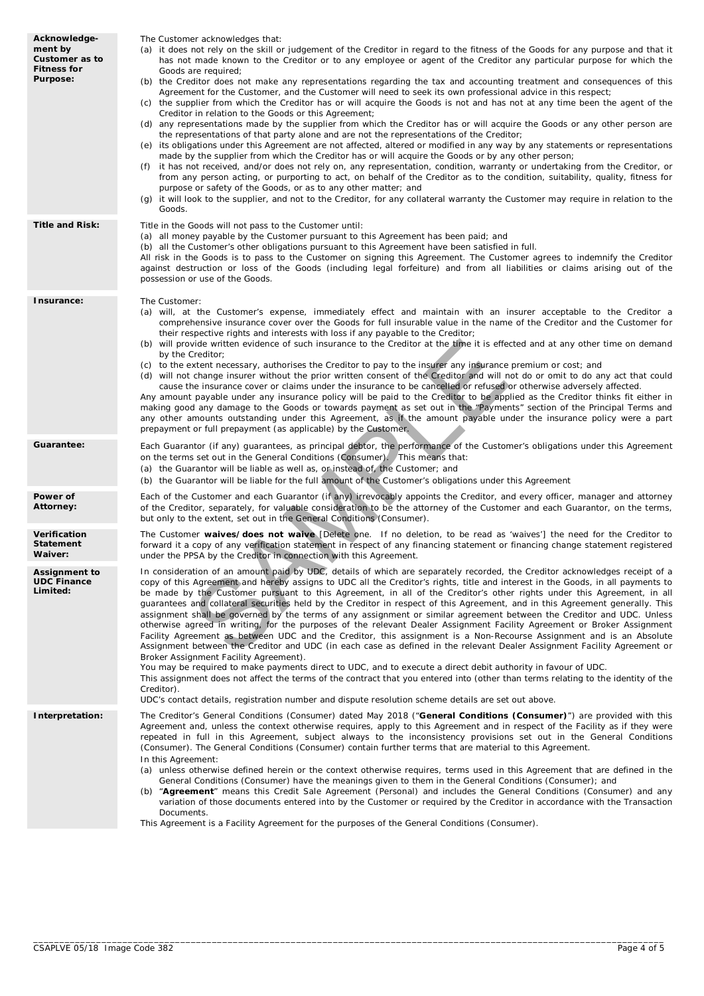| Acknowledge-<br>ment by<br>Customer as to<br><b>Fitness for</b><br>Purpose: | The Customer acknowledges that:<br>(a) it does not rely on the skill or judgement of the Creditor in regard to the fitness of the Goods for any purpose and that it<br>has not made known to the Creditor or to any employee or agent of the Creditor any particular purpose for which the<br>Goods are required;<br>(b) the Creditor does not make any representations regarding the tax and accounting treatment and consequences of this<br>Agreement for the Customer, and the Customer will need to seek its own professional advice in this respect;<br>(c) the supplier from which the Creditor has or will acquire the Goods is not and has not at any time been the agent of the<br>Creditor in relation to the Goods or this Agreement;<br>(d) any representations made by the supplier from which the Creditor has or will acquire the Goods or any other person are<br>the representations of that party alone and are not the representations of the Creditor;<br>(e) its obligations under this Agreement are not affected, altered or modified in any way by any statements or representations<br>made by the supplier from which the Creditor has or will acquire the Goods or by any other person;<br>it has not received, and/or does not rely on, any representation, condition, warranty or undertaking from the Creditor, or<br>(f)<br>from any person acting, or purporting to act, on behalf of the Creditor as to the condition, suitability, quality, fitness for<br>purpose or safety of the Goods, or as to any other matter; and<br>(q) it will look to the supplier, and not to the Creditor, for any collateral warranty the Customer may require in relation to the<br>Goods. |
|-----------------------------------------------------------------------------|--------------------------------------------------------------------------------------------------------------------------------------------------------------------------------------------------------------------------------------------------------------------------------------------------------------------------------------------------------------------------------------------------------------------------------------------------------------------------------------------------------------------------------------------------------------------------------------------------------------------------------------------------------------------------------------------------------------------------------------------------------------------------------------------------------------------------------------------------------------------------------------------------------------------------------------------------------------------------------------------------------------------------------------------------------------------------------------------------------------------------------------------------------------------------------------------------------------------------------------------------------------------------------------------------------------------------------------------------------------------------------------------------------------------------------------------------------------------------------------------------------------------------------------------------------------------------------------------------------------------------------------------------------------------------------------------------------------|
| <b>Title and Risk:</b>                                                      | Title in the Goods will not pass to the Customer until:<br>(a) all money payable by the Customer pursuant to this Agreement has been paid; and<br>(b) all the Customer's other obligations pursuant to this Agreement have been satisfied in full.<br>All risk in the Goods is to pass to the Customer on signing this Agreement. The Customer agrees to indemnify the Creditor<br>against destruction or loss of the Goods (including legal forfeiture) and from all liabilities or claims arising out of the<br>possession or use of the Goods.                                                                                                                                                                                                                                                                                                                                                                                                                                                                                                                                                                                                                                                                                                                                                                                                                                                                                                                                                                                                                                                                                                                                                            |
| Insurance:                                                                  | The Customer:<br>(a) will, at the Customer's expense, immediately effect and maintain with an insurer acceptable to the Creditor a<br>comprehensive insurance cover over the Goods for full insurable value in the name of the Creditor and the Customer for<br>their respective rights and interests with loss if any payable to the Creditor;<br>(b) will provide written evidence of such insurance to the Creditor at the time it is effected and at any other time on demand<br>by the Creditor;<br>(c) to the extent necessary, authorises the Creditor to pay to the insurer any insurance premium or cost; and<br>(d) will not change insurer without the prior written consent of the Creditor and will not do or omit to do any act that could<br>cause the insurance cover or claims under the insurance to be cancelled or refused or otherwise adversely affected.<br>Any amount payable under any insurance policy will be paid to the Creditor to be applied as the Creditor thinks fit either in<br>making good any damage to the Goods or towards payment as set out in the "Payments" section of the Principal Terms and<br>any other amounts outstanding under this Agreement, as if the amount payable under the insurance policy were a part<br>prepayment or full prepayment (as applicable) by the Customer.                                                                                                                                                                                                                                                                                                                                                                          |
| Guarantee:                                                                  | Each Guarantor (if any) guarantees, as principal debtor, the performance of the Customer's obligations under this Agreement<br>on the terms set out in the General Conditions (Consumer). This means that:<br>(a) the Guarantor will be liable as well as, or instead of, the Customer; and<br>(b) the Guarantor will be liable for the full amount of the Customer's obligations under this Agreement                                                                                                                                                                                                                                                                                                                                                                                                                                                                                                                                                                                                                                                                                                                                                                                                                                                                                                                                                                                                                                                                                                                                                                                                                                                                                                       |
| Power of<br><b>Attorney:</b>                                                | Each of the Customer and each Guarantor (if any) irrevocably appoints the Creditor, and every officer, manager and attorney<br>of the Creditor, separately, for valuable consideration to be the attorney of the Customer and each Guarantor, on the terms,<br>but only to the extent, set out in the General Conditions (Consumer).                                                                                                                                                                                                                                                                                                                                                                                                                                                                                                                                                                                                                                                                                                                                                                                                                                                                                                                                                                                                                                                                                                                                                                                                                                                                                                                                                                         |
| Verification<br>Statement<br>Waiver:                                        | The Customer waives/does not waive [Delete one. If no deletion, to be read as 'waives'] the need for the Creditor to<br>forward it a copy of any verification statement in respect of any financing statement or financing change statement registered<br>under the PPSA by the Creditor in connection with this Agreement.                                                                                                                                                                                                                                                                                                                                                                                                                                                                                                                                                                                                                                                                                                                                                                                                                                                                                                                                                                                                                                                                                                                                                                                                                                                                                                                                                                                  |
| <b>Assignment to</b><br><b>UDC Finance</b><br>Limited:                      | In consideration of an amount paid by UDC, details of which are separately recorded, the Creditor acknowledges receipt of a<br>copy of this Agreement and hereby assigns to UDC all the Creditor's rights, title and interest in the Goods, in all payments to<br>be made by the Customer pursuant to this Agreement, in all of the Creditor's other rights under this Agreement, in all<br>guarantees and collateral securities held by the Creditor in respect of this Agreement, and in this Agreement generally. This<br>assignment shall be governed by the terms of any assignment or similar agreement between the Creditor and UDC. Unless<br>otherwise agreed in writing, for the purposes of the relevant Dealer Assignment Facility Agreement or Broker Assignment<br>Facility Agreement as between UDC and the Creditor, this assignment is a Non-Recourse Assignment and is an Absolute<br>Assignment between the Creditor and UDC (in each case as defined in the relevant Dealer Assignment Facility Agreement or<br>Broker Assignment Facility Agreement).<br>You may be required to make payments direct to UDC, and to execute a direct debit authority in favour of UDC.<br>This assignment does not affect the terms of the contract that you entered into (other than terms relating to the identity of the<br>Creditor).<br>UDC's contact details, registration number and dispute resolution scheme details are set out above.                                                                                                                                                                                                                                                        |
| Interpretation:                                                             | The Creditor's General Conditions (Consumer) dated May 2018 ("General Conditions (Consumer)") are provided with this<br>Agreement and, unless the context otherwise requires, apply to this Agreement and in respect of the Facility as if they were<br>repeated in full in this Agreement, subject always to the inconsistency provisions set out in the General Conditions<br>(Consumer). The General Conditions (Consumer) contain further terms that are material to this Agreement.<br>In this Agreement:<br>(a) unless otherwise defined herein or the context otherwise requires, terms used in this Agreement that are defined in the<br>General Conditions (Consumer) have the meanings given to them in the General Conditions (Consumer); and<br>(b) "Agreement" means this Credit Sale Agreement (Personal) and includes the General Conditions (Consumer) and any<br>variation of those documents entered into by the Customer or required by the Creditor in accordance with the Transaction<br>Documents.<br>This Agreement is a Facility Agreement for the purposes of the General Conditions (Consumer).                                                                                                                                                                                                                                                                                                                                                                                                                                                                                                                                                                                    |

\_\_\_\_\_\_\_\_\_\_\_\_\_\_\_\_\_\_\_\_\_\_\_\_\_\_\_\_\_\_\_\_\_\_\_\_\_\_\_\_\_\_\_\_\_\_\_\_\_\_\_\_\_\_\_\_\_\_\_\_\_\_\_\_\_\_\_\_\_\_\_\_\_\_\_\_\_\_\_\_\_\_\_\_\_\_\_\_\_\_\_\_\_\_\_\_\_\_\_\_\_\_\_\_\_\_\_\_\_\_\_\_\_\_\_\_\_\_\_\_